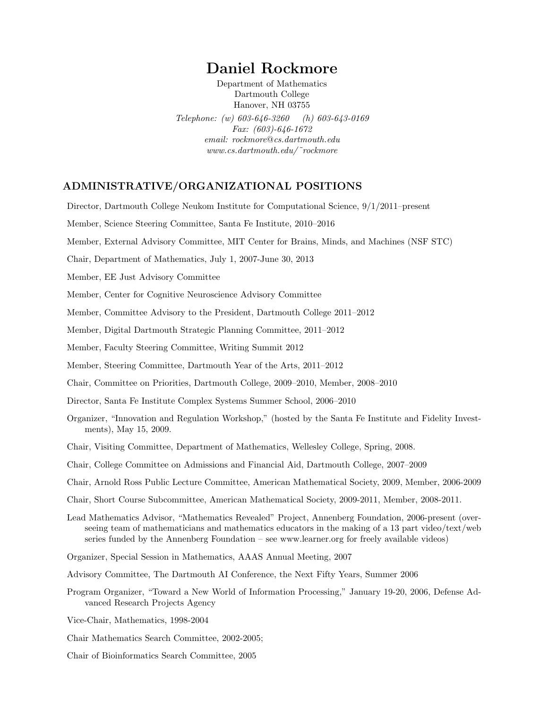# Daniel Rockmore

Department of Mathematics Dartmouth College Hanover, NH 03755 Telephone: (w) 603-646-3260 (h) 603-643-0169 Fax: (603)-646-1672 email: rockmore@cs.dartmouth.edu www.cs.dartmouth.edu/ ˜rockmore

# ADMINISTRATIVE/ORGANIZATIONAL POSITIONS

Director, Dartmouth College Neukom Institute for Computational Science, 9/1/2011–present

Member, Science Steering Committee, Santa Fe Institute, 2010–2016

Member, External Advisory Committee, MIT Center for Brains, Minds, and Machines (NSF STC)

Chair, Department of Mathematics, July 1, 2007-June 30, 2013

Member, EE Just Advisory Committee

Member, Center for Cognitive Neuroscience Advisory Committee

Member, Committee Advisory to the President, Dartmouth College 2011–2012

Member, Digital Dartmouth Strategic Planning Committee, 2011–2012

Member, Faculty Steering Committee, Writing Summit 2012

Member, Steering Committee, Dartmouth Year of the Arts, 2011–2012

Chair, Committee on Priorities, Dartmouth College, 2009–2010, Member, 2008–2010

Director, Santa Fe Institute Complex Systems Summer School, 2006–2010

Organizer, "Innovation and Regulation Workshop," (hosted by the Santa Fe Institute and Fidelity Investments), May 15, 2009.

Chair, Visiting Committee, Department of Mathematics, Wellesley College, Spring, 2008.

Chair, College Committee on Admissions and Financial Aid, Dartmouth College, 2007–2009

Chair, Arnold Ross Public Lecture Committee, American Mathematical Society, 2009, Member, 2006-2009

Chair, Short Course Subcommittee, American Mathematical Society, 2009-2011, Member, 2008-2011.

Lead Mathematics Advisor, "Mathematics Revealed" Project, Annenberg Foundation, 2006-present (overseeing team of mathematicians and mathematics educators in the making of a 13 part video/text/web series funded by the Annenberg Foundation – see www.learner.org for freely available videos)

Organizer, Special Session in Mathematics, AAAS Annual Meeting, 2007

Advisory Committee, The Dartmouth AI Conference, the Next Fifty Years, Summer 2006

- Program Organizer, "Toward a New World of Information Processing," January 19-20, 2006, Defense Advanced Research Projects Agency
- Vice-Chair, Mathematics, 1998-2004
- Chair Mathematics Search Committee, 2002-2005;

Chair of Bioinformatics Search Committee, 2005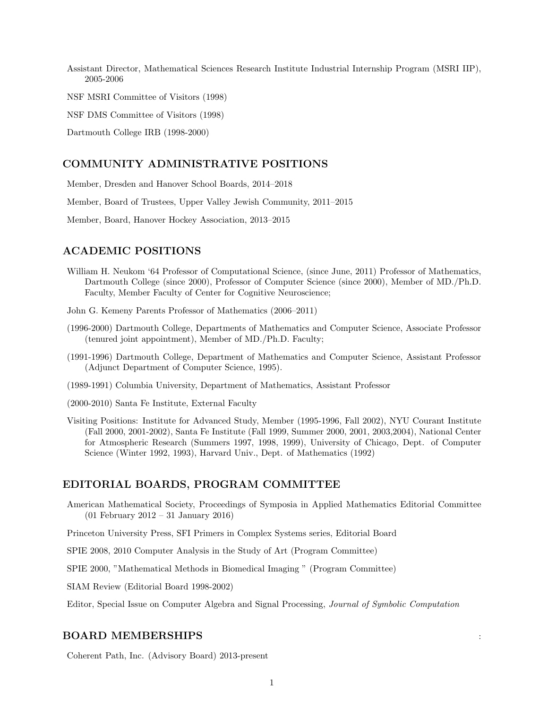Assistant Director, Mathematical Sciences Research Institute Industrial Internship Program (MSRI IIP), 2005-2006

NSF MSRI Committee of Visitors (1998)

NSF DMS Committee of Visitors (1998)

Dartmouth College IRB (1998-2000)

## COMMUNITY ADMINISTRATIVE POSITIONS

Member, Dresden and Hanover School Boards, 2014–2018

Member, Board of Trustees, Upper Valley Jewish Community, 2011–2015

Member, Board, Hanover Hockey Association, 2013–2015

## ACADEMIC POSITIONS

William H. Neukom '64 Professor of Computational Science, (since June, 2011) Professor of Mathematics, Dartmouth College (since 2000), Professor of Computer Science (since 2000), Member of MD./Ph.D. Faculty, Member Faculty of Center for Cognitive Neuroscience;

John G. Kemeny Parents Professor of Mathematics (2006–2011)

- (1996-2000) Dartmouth College, Departments of Mathematics and Computer Science, Associate Professor (tenured joint appointment), Member of MD./Ph.D. Faculty;
- (1991-1996) Dartmouth College, Department of Mathematics and Computer Science, Assistant Professor (Adjunct Department of Computer Science, 1995).
- (1989-1991) Columbia University, Department of Mathematics, Assistant Professor
- (2000-2010) Santa Fe Institute, External Faculty
- Visiting Positions: Institute for Advanced Study, Member (1995-1996, Fall 2002), NYU Courant Institute (Fall 2000, 2001-2002), Santa Fe Institute (Fall 1999, Summer 2000, 2001, 2003,2004), National Center for Atmospheric Research (Summers 1997, 1998, 1999), University of Chicago, Dept. of Computer Science (Winter 1992, 1993), Harvard Univ., Dept. of Mathematics (1992)

## EDITORIAL BOARDS, PROGRAM COMMITTEE

American Mathematical Society, Proceedings of Symposia in Applied Mathematics Editorial Committee (01 February 2012 – 31 January 2016)

Princeton University Press, SFI Primers in Complex Systems series, Editorial Board

SPIE 2008, 2010 Computer Analysis in the Study of Art (Program Committee)

SPIE 2000, "Mathematical Methods in Biomedical Imaging " (Program Committee)

SIAM Review (Editorial Board 1998-2002)

Editor, Special Issue on Computer Algebra and Signal Processing, Journal of Symbolic Computation

#### BOARD MEMBERSHIPS :

Coherent Path, Inc. (Advisory Board) 2013-present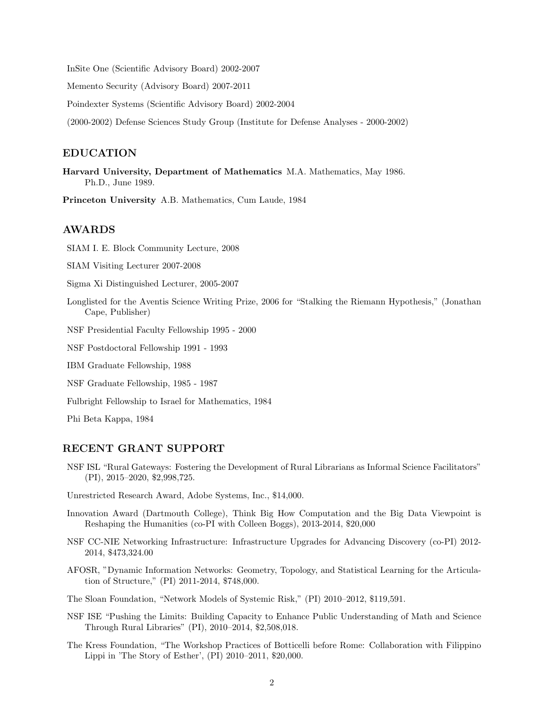InSite One (Scientific Advisory Board) 2002-2007

Memento Security (Advisory Board) 2007-2011

Poindexter Systems (Scientific Advisory Board) 2002-2004

(2000-2002) Defense Sciences Study Group (Institute for Defense Analyses - 2000-2002)

#### EDUCATION

Harvard University, Department of Mathematics M.A. Mathematics, May 1986. Ph.D., June 1989.

Princeton University A.B. Mathematics, Cum Laude, 1984

#### AWARDS

SIAM I. E. Block Community Lecture, 2008

SIAM Visiting Lecturer 2007-2008

Sigma Xi Distinguished Lecturer, 2005-2007

Longlisted for the Aventis Science Writing Prize, 2006 for "Stalking the Riemann Hypothesis," (Jonathan Cape, Publisher)

NSF Presidential Faculty Fellowship 1995 - 2000

NSF Postdoctoral Fellowship 1991 - 1993

IBM Graduate Fellowship, 1988

NSF Graduate Fellowship, 1985 - 1987

Fulbright Fellowship to Israel for Mathematics, 1984

Phi Beta Kappa, 1984

## RECENT GRANT SUPPORT

- NSF ISL "Rural Gateways: Fostering the Development of Rural Librarians as Informal Science Facilitators" (PI), 2015–2020, \$2,998,725.
- Unrestricted Research Award, Adobe Systems, Inc., \$14,000.
- Innovation Award (Dartmouth College), Think Big How Computation and the Big Data Viewpoint is Reshaping the Humanities (co-PI with Colleen Boggs), 2013-2014, \$20,000
- NSF CC-NIE Networking Infrastructure: Infrastructure Upgrades for Advancing Discovery (co-PI) 2012- 2014, \$473,324.00
- AFOSR, "Dynamic Information Networks: Geometry, Topology, and Statistical Learning for the Articulation of Structure," (PI) 2011-2014, \$748,000.
- The Sloan Foundation, "Network Models of Systemic Risk," (PI) 2010–2012, \$119,591.
- NSF ISE "Pushing the Limits: Building Capacity to Enhance Public Understanding of Math and Science Through Rural Libraries" (PI), 2010–2014, \$2,508,018.
- The Kress Foundation, "The Workshop Practices of Botticelli before Rome: Collaboration with Filippino Lippi in 'The Story of Esther', (PI) 2010–2011, \$20,000.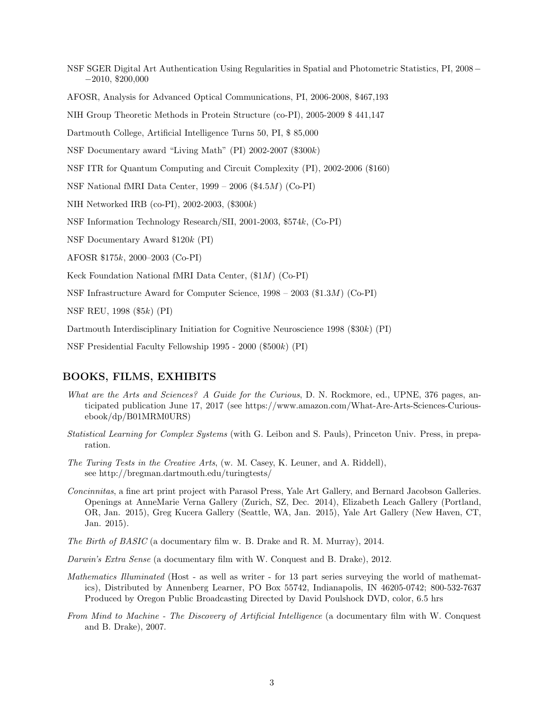NSF SGER Digital Art Authentication Using Regularities in Spatial and Photometric Statistics, PI, 2008− −2010, \$200,000

AFOSR, Analysis for Advanced Optical Communications, PI, 2006-2008, \$467,193

NIH Group Theoretic Methods in Protein Structure (co-PI), 2005-2009 \$ 441,147

Dartmouth College, Artificial Intelligence Turns 50, PI, \$ 85,000

NSF Documentary award "Living Math" (PI) 2002-2007 (\$300k)

NSF ITR for Quantum Computing and Circuit Complexity (PI), 2002-2006 (\$160)

NSF National fMRI Data Center, 1999 – 2006 (\$4.5M) (Co-PI)

NIH Networked IRB (co-PI), 2002-2003, (\$300k)

NSF Information Technology Research/SII, 2001-2003, \$574k, (Co-PI)

NSF Documentary Award \$120k (PI)

AFOSR \$175k, 2000–2003 (Co-PI)

Keck Foundation National fMRI Data Center, (\$1M) (Co-PI)

NSF Infrastructure Award for Computer Science, 1998 – 2003 (\$1.3M) (Co-PI)

NSF REU, 1998 (\$5k) (PI)

Dartmouth Interdisciplinary Initiation for Cognitive Neuroscience 1998 (\$30k) (PI)

NSF Presidential Faculty Fellowship 1995 - 2000 (\$500k) (PI)

## BOOKS, FILMS, EXHIBITS

- What are the Arts and Sciences? A Guide for the Curious, D. N. Rockmore, ed., UPNE, 376 pages, anticipated publication June 17, 2017 (see https://www.amazon.com/What-Are-Arts-Sciences-Curiousebook/dp/B01MRM0URS)
- Statistical Learning for Complex Systems (with G. Leibon and S. Pauls), Princeton Univ. Press, in preparation.
- The Turing Tests in the Creative Arts, (w. M. Casey, K. Leuner, and A. Riddell), see http://bregman.dartmouth.edu/turingtests/
- Concinnitas, a fine art print project with Parasol Press, Yale Art Gallery, and Bernard Jacobson Galleries. Openings at AnneMarie Verna Gallery (Zurich, SZ, Dec. 2014), Elizabeth Leach Gallery (Portland, OR, Jan. 2015), Greg Kucera Gallery (Seattle, WA, Jan. 2015), Yale Art Gallery (New Haven, CT, Jan. 2015).
- The Birth of BASIC (a documentary film w. B. Drake and R. M. Murray), 2014.
- Darwin's Extra Sense (a documentary film with W. Conquest and B. Drake), 2012.
- Mathematics Illuminated (Host as well as writer for 13 part series surveying the world of mathematics), Distributed by Annenberg Learner, PO Box 55742, Indianapolis, IN 46205-0742; 800-532-7637 Produced by Oregon Public Broadcasting Directed by David Poulshock DVD, color, 6.5 hrs
- From Mind to Machine The Discovery of Artificial Intelligence (a documentary film with W. Conquest and B. Drake), 2007.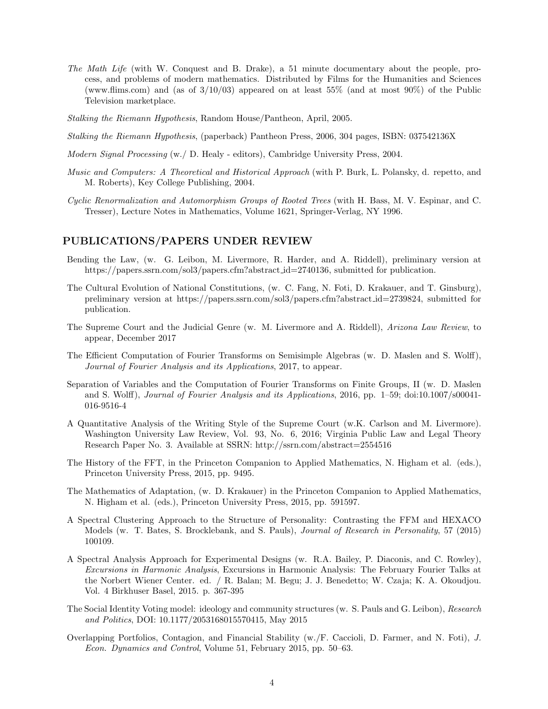- The Math Life (with W. Conquest and B. Drake), a 51 minute documentary about the people, process, and problems of modern mathematics. Distributed by Films for the Humanities and Sciences (www.flims.com) and (as of  $3/10/03$ ) appeared on at least 55% (and at most 90%) of the Public Television marketplace.
- Stalking the Riemann Hypothesis, Random House/Pantheon, April, 2005.
- Stalking the Riemann Hypothesis, (paperback) Pantheon Press, 2006, 304 pages, ISBN: 037542136X
- Modern Signal Processing (w./ D. Healy editors), Cambridge University Press, 2004.
- Music and Computers: A Theoretical and Historical Approach (with P. Burk, L. Polansky, d. repetto, and M. Roberts), Key College Publishing, 2004.
- Cyclic Renormalization and Automorphism Groups of Rooted Trees (with H. Bass, M. V. Espinar, and C. Tresser), Lecture Notes in Mathematics, Volume 1621, Springer-Verlag, NY 1996.

## PUBLICATIONS/PAPERS UNDER REVIEW

- Bending the Law, (w. G. Leibon, M. Livermore, R. Harder, and A. Riddell), preliminary version at https://papers.ssrn.com/sol3/papers.cfm?abstract id=2740136, submitted for publication.
- The Cultural Evolution of National Constitutions, (w. C. Fang, N. Foti, D. Krakauer, and T. Ginsburg), preliminary version at https://papers.ssrn.com/sol3/papers.cfm?abstract id=2739824, submitted for publication.
- The Supreme Court and the Judicial Genre (w. M. Livermore and A. Riddell), Arizona Law Review, to appear, December 2017
- The Efficient Computation of Fourier Transforms on Semisimple Algebras (w. D. Maslen and S. Wolff), Journal of Fourier Analysis and its Applications, 2017, to appear.
- Separation of Variables and the Computation of Fourier Transforms on Finite Groups, II (w. D. Maslen and S. Wolff), Journal of Fourier Analysis and its Applications, 2016, pp. 1–59; doi:10.1007/s00041- 016-9516-4
- A Quantitative Analysis of the Writing Style of the Supreme Court (w.K. Carlson and M. Livermore). Washington University Law Review, Vol. 93, No. 6, 2016; Virginia Public Law and Legal Theory Research Paper No. 3. Available at SSRN: http://ssrn.com/abstract=2554516
- The History of the FFT, in the Princeton Companion to Applied Mathematics, N. Higham et al. (eds.), Princeton University Press, 2015, pp. 9495.
- The Mathematics of Adaptation, (w. D. Krakauer) in the Princeton Companion to Applied Mathematics, N. Higham et al. (eds.), Princeton University Press, 2015, pp. 591597.
- A Spectral Clustering Approach to the Structure of Personality: Contrasting the FFM and HEXACO Models (w. T. Bates, S. Brocklebank, and S. Pauls), Journal of Research in Personality, 57 (2015) 100109.
- A Spectral Analysis Approach for Experimental Designs (w. R.A. Bailey, P. Diaconis, and C. Rowley), Excursions in Harmonic Analysis, Excursions in Harmonic Analysis: The February Fourier Talks at the Norbert Wiener Center. ed. / R. Balan; M. Begu; J. J. Benedetto; W. Czaja; K. A. Okoudjou. Vol. 4 Birkhuser Basel, 2015. p. 367-395
- The Social Identity Voting model: ideology and community structures (w. S. Pauls and G. Leibon), Research and Politics, DOI: 10.1177/2053168015570415, May 2015
- Overlapping Portfolios, Contagion, and Financial Stability (w./F. Caccioli, D. Farmer, and N. Foti), J. Econ. Dynamics and Control, Volume 51, February 2015, pp. 50–63.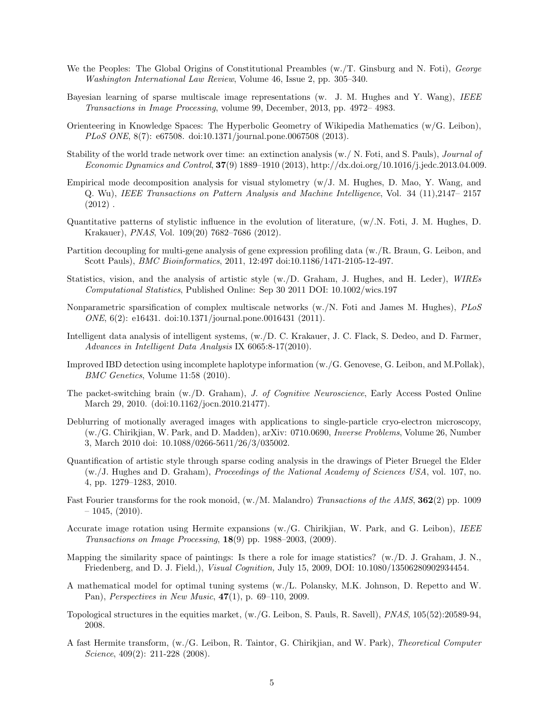- We the Peoples: The Global Origins of Constitutional Preambles (w. T. Ginsburg and N. Foti), George Washington International Law Review, Volume 46, Issue 2, pp. 305–340.
- Bayesian learning of sparse multiscale image representations (w. J. M. Hughes and Y. Wang), IEEE Transactions in Image Processing, volume 99, December, 2013, pp. 4972– 4983.
- Orienteering in Knowledge Spaces: The Hyperbolic Geometry of Wikipedia Mathematics (w/G. Leibon), PLoS ONE, 8(7): e67508. doi:10.1371/journal.pone.0067508 (2013).
- Stability of the world trade network over time: an extinction analysis (w./ N. Foti, and S. Pauls), Journal of Economic Dynamics and Control, 37(9) 1889–1910 (2013), http://dx.doi.org/10.1016/j.jedc.2013.04.009.
- Empirical mode decomposition analysis for visual stylometry (w/J. M. Hughes, D. Mao, Y. Wang, and Q. Wu), IEEE Transactions on Pattern Analysis and Machine Intelligence, Vol. 34 (11),2147– 2157  $(2012)$ .
- Quantitative patterns of stylistic influence in the evolution of literature, (w/.N. Foti, J. M. Hughes, D. Krakauer), PNAS, Vol. 109(20) 7682–7686 (2012).
- Partition decoupling for multi-gene analysis of gene expression profiling data (w./R. Braun, G. Leibon, and Scott Pauls), BMC Bioinformatics, 2011, 12:497 doi:10.1186/1471-2105-12-497.
- Statistics, vision, and the analysis of artistic style (w./D. Graham, J. Hughes, and H. Leder), WIREs Computational Statistics, Published Online: Sep 30 2011 DOI: 10.1002/wics.197
- Nonparametric sparsification of complex multiscale networks (w./N. Foti and James M. Hughes), PLoS ONE, 6(2): e16431. doi:10.1371/journal.pone.0016431 (2011).
- Intelligent data analysis of intelligent systems, (w./D. C. Krakauer, J. C. Flack, S. Dedeo, and D. Farmer, Advances in Intelligent Data Analysis IX 6065:8-17(2010).
- Improved IBD detection using incomplete haplotype information (w./G. Genovese, G. Leibon, and M.Pollak), BMC Genetics, Volume 11:58 (2010).
- The packet-switching brain (w./D. Graham), J. of Cognitive Neuroscience, Early Access Posted Online March 29, 2010. (doi:10.1162/jocn.2010.21477).
- Deblurring of motionally averaged images with applications to single-particle cryo-electron microscopy, (w./G. Chirikjian, W. Park, and D. Madden), arXiv: 0710.0690, Inverse Problems, Volume 26, Number 3, March 2010 doi: 10.1088/0266-5611/26/3/035002.
- Quantification of artistic style through sparse coding analysis in the drawings of Pieter Bruegel the Elder (w./J. Hughes and D. Graham), Proceedings of the National Academy of Sciences USA, vol. 107, no. 4, pp. 1279–1283, 2010.
- Fast Fourier transforms for the rook monoid,  $(w/M)$ . Malandro) Transactions of the AMS, **362**(2) pp. 1009  $-1045, (2010).$
- Accurate image rotation using Hermite expansions (w./G. Chirikjian, W. Park, and G. Leibon), IEEE Transactions on Image Processing,  $18(9)$  pp. 1988–2003, (2009).
- Mapping the similarity space of paintings: Is there a role for image statistics? (w./D. J. Graham, J. N., Friedenberg, and D. J. Field,), Visual Cognition, July 15, 2009, DOI: 10.1080/13506280902934454.
- A mathematical model for optimal tuning systems (w./L. Polansky, M.K. Johnson, D. Repetto and W. Pan), *Perspectives in New Music*,  $47(1)$ , p. 69–110, 2009.
- Topological structures in the equities market, (w./G. Leibon, S. Pauls, R. Savell), PNAS, 105(52):20589-94, 2008.
- A fast Hermite transform, (w./G. Leibon, R. Taintor, G. Chirikjian, and W. Park), Theoretical Computer Science, 409(2): 211-228 (2008).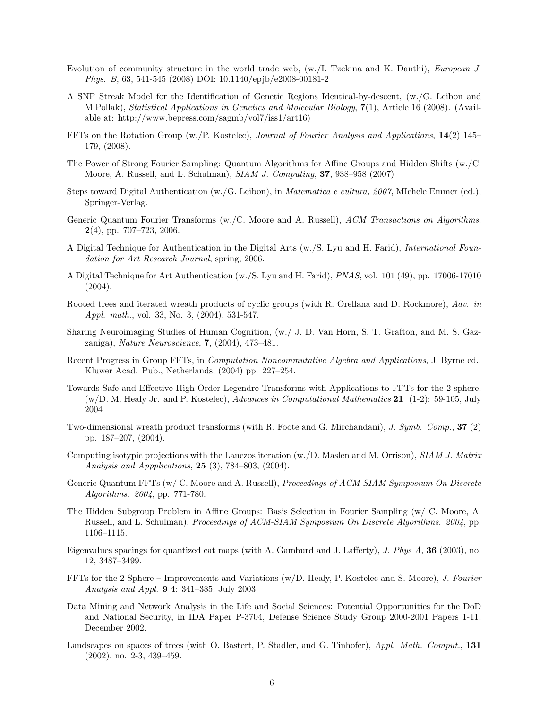- Evolution of community structure in the world trade web, (w./I. Tzekina and K. Danthi), European J. Phys. B, 63, 541-545 (2008) DOI: 10.1140/epjb/e2008-00181-2
- A SNP Streak Model for the Identification of Genetic Regions Identical-by-descent, (w./G. Leibon and M.Pollak), Statistical Applications in Genetics and Molecular Biology, 7(1), Article 16 (2008). (Available at: http://www.bepress.com/sagmb/vol7/iss1/art16)
- FFTs on the Rotation Group (w./P. Kostelec), Journal of Fourier Analysis and Applications, 14(2) 145– 179, (2008).
- The Power of Strong Fourier Sampling: Quantum Algorithms for Affine Groups and Hidden Shifts (w./C. Moore, A. Russell, and L. Schulman), SIAM J. Computing, 37, 938–958 (2007)
- Steps toward Digital Authentication (w./G. Leibon), in Matematica e cultura, 2007, MIchele Emmer (ed.), Springer-Verlag.
- Generic Quantum Fourier Transforms (w./C. Moore and A. Russell), ACM Transactions on Algorithms,  $2(4)$ , pp. 707–723, 2006.
- A Digital Technique for Authentication in the Digital Arts (w./S. Lyu and H. Farid), International Foundation for Art Research Journal, spring, 2006.
- A Digital Technique for Art Authentication (w./S. Lyu and H. Farid), PNAS, vol. 101 (49), pp. 17006-17010 (2004).
- Rooted trees and iterated wreath products of cyclic groups (with R. Orellana and D. Rockmore), Adv. in Appl. math., vol. 33, No. 3, (2004), 531-547.
- Sharing Neuroimaging Studies of Human Cognition, (w./ J. D. Van Horn, S. T. Grafton, and M. S. Gazzaniga), Nature Neuroscience, 7, (2004), 473–481.
- Recent Progress in Group FFTs, in Computation Noncommutative Algebra and Applications, J. Byrne ed., Kluwer Acad. Pub., Netherlands, (2004) pp. 227–254.
- Towards Safe and Effective High-Order Legendre Transforms with Applications to FFTs for the 2-sphere,  $(w/D. M.$  Healy Jr. and P. Kostelec), Advances in Computational Mathematics 21 (1-2): 59-105, July 2004
- Two-dimensional wreath product transforms (with R. Foote and G. Mirchandani), J. Symb. Comp., 37 (2) pp. 187–207, (2004).
- Computing isotypic projections with the Lanczos iteration (w./D. Maslen and M. Orrison), SIAM J. Matrix Analysis and Appplications, 25 (3), 784–803, (2004).
- Generic Quantum FFTs (w/ C. Moore and A. Russell), Proceedings of ACM-SIAM Symposium On Discrete Algorithms. 2004, pp. 771-780.
- The Hidden Subgroup Problem in Affine Groups: Basis Selection in Fourier Sampling (w/ C. Moore, A. Russell, and L. Schulman), Proceedings of ACM-SIAM Symposium On Discrete Algorithms. 2004, pp. 1106–1115.
- Eigenvalues spacings for quantized cat maps (with A. Gamburd and J. Lafferty), J. Phys A, 36 (2003), no. 12, 3487–3499.
- FFTs for the 2-Sphere Improvements and Variations (w/D. Healy, P. Kostelec and S. Moore), J. Fourier Analysis and Appl. 9 4: 341–385, July 2003
- Data Mining and Network Analysis in the Life and Social Sciences: Potential Opportunities for the DoD and National Security, in IDA Paper P-3704, Defense Science Study Group 2000-2001 Papers 1-11, December 2002.
- Landscapes on spaces of trees (with O. Bastert, P. Stadler, and G. Tinhofer), Appl. Math. Comput., 131 (2002), no. 2-3, 439–459.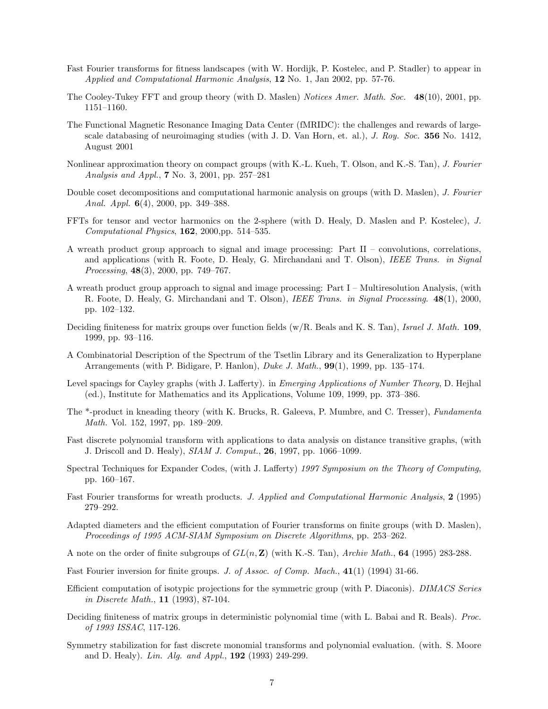- Fast Fourier transforms for fitness landscapes (with W. Hordijk, P. Kostelec, and P. Stadler) to appear in Applied and Computational Harmonic Analysis, 12 No. 1, Jan 2002, pp. 57-76.
- The Cooley-Tukey FFT and group theory (with D. Maslen) Notices Amer. Math. Soc. 48(10), 2001, pp. 1151–1160.
- The Functional Magnetic Resonance Imaging Data Center (fMRIDC): the challenges and rewards of largescale databasing of neuroimaging studies (with J. D. Van Horn, et. al.), J. Roy. Soc. 356 No. 1412, August 2001
- Nonlinear approximation theory on compact groups (with K.-L. Kueh, T. Olson, and K.-S. Tan), J. Fourier Analysis and Appl., 7 No. 3, 2001, pp. 257–281
- Double coset decompositions and computational harmonic analysis on groups (with D. Maslen), *J. Fourier* Anal. Appl. 6(4), 2000, pp. 349–388.
- FFTs for tensor and vector harmonics on the 2-sphere (with D. Healy, D. Maslen and P. Kostelec), J.  $Computational Physics, 162, 2000, pp. 514-535.$
- A wreath product group approach to signal and image processing: Part II convolutions, correlations, and applications (with R. Foote, D. Healy, G. Mirchandani and T. Olson), IEEE Trans. in Signal Processing, 48(3), 2000, pp. 749–767.
- A wreath product group approach to signal and image processing: Part I Multiresolution Analysis, (with R. Foote, D. Healy, G. Mirchandani and T. Olson), IEEE Trans. in Signal Processing. 48(1), 2000, pp. 102–132.
- Deciding finiteness for matrix groups over function fields  $(w/R)$ . Beals and K. S. Tan), Israel J. Math. 109, 1999, pp. 93–116.
- A Combinatorial Description of the Spectrum of the Tsetlin Library and its Generalization to Hyperplane Arrangements (with P. Bidigare, P. Hanlon), Duke J. Math., 99(1), 1999, pp. 135–174.
- Level spacings for Cayley graphs (with J. Lafferty). in Emerging Applications of Number Theory, D. Hejhal (ed.), Institute for Mathematics and its Applications, Volume 109, 1999, pp. 373–386.
- The \*-product in kneading theory (with K. Brucks, R. Galeeva, P. Mumbre, and C. Tresser), Fundamenta Math. Vol. 152, 1997, pp. 189–209.
- Fast discrete polynomial transform with applications to data analysis on distance transitive graphs, (with J. Driscoll and D. Healy), SIAM J. Comput., 26, 1997, pp. 1066–1099.
- Spectral Techniques for Expander Codes, (with J. Lafferty) 1997 Symposium on the Theory of Computing, pp. 160–167.
- Fast Fourier transforms for wreath products. J. Applied and Computational Harmonic Analysis, 2 (1995) 279–292.
- Adapted diameters and the efficient computation of Fourier transforms on finite groups (with D. Maslen), Proceedings of 1995 ACM-SIAM Symposium on Discrete Algorithms, pp. 253–262.
- A note on the order of finite subgroups of  $GL(n, \mathbb{Z})$  (with K.-S. Tan), Archiv Math., 64 (1995) 283-288.
- Fast Fourier inversion for finite groups. J. of Assoc. of Comp. Mach., 41(1) (1994) 31-66.
- Efficient computation of isotypic projections for the symmetric group (with P. Diaconis). DIMACS Series in Discrete Math., 11 (1993), 87-104.
- Deciding finiteness of matrix groups in deterministic polynomial time (with L. Babai and R. Beals). *Proc.* of 1993 ISSAC, 117-126.
- Symmetry stabilization for fast discrete monomial transforms and polynomial evaluation. (with. S. Moore and D. Healy). Lin. Alg. and Appl.,  $192$  (1993) 249-299.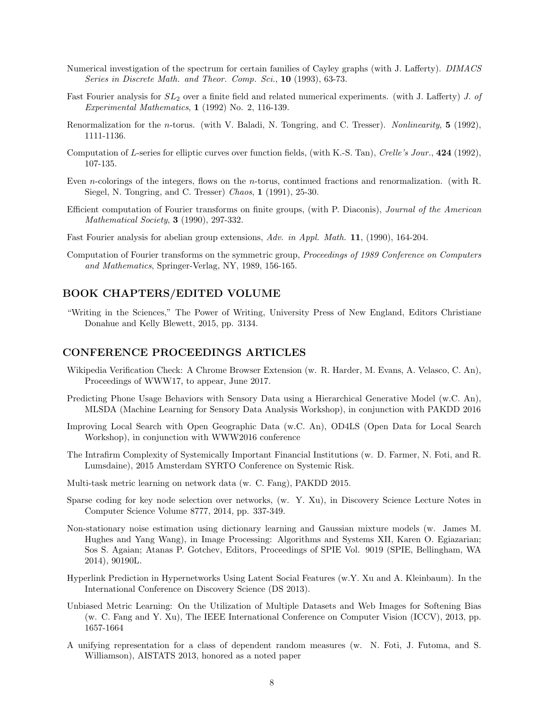- Numerical investigation of the spectrum for certain families of Cayley graphs (with J. Lafferty). DIMACS Series in Discrete Math. and Theor. Comp. Sci., 10 (1993), 63-73.
- Fast Fourier analysis for  $SL_2$  over a finite field and related numerical experiments. (with J. Lafferty) J. of Experimental Mathematics, 1 (1992) No. 2, 116-139.
- Renormalization for the n-torus. (with V. Baladi, N. Tongring, and C. Tresser). Nonlinearity, 5 (1992), 1111-1136.
- Computation of L-series for elliptic curves over function fields, (with K.-S. Tan), Crelle's Jour., 424 (1992), 107-135.
- Even n-colorings of the integers, flows on the n-torus, continued fractions and renormalization. (with R. Siegel, N. Tongring, and C. Tresser) Chaos, 1 (1991), 25-30.
- Efficient computation of Fourier transforms on finite groups, (with P. Diaconis), Journal of the American Mathematical Society, 3 (1990), 297-332.
- Fast Fourier analysis for abelian group extensions, Adv. in Appl. Math. 11, (1990), 164-204.
- Computation of Fourier transforms on the symmetric group, Proceedings of 1989 Conference on Computers and Mathematics, Springer-Verlag, NY, 1989, 156-165.

## BOOK CHAPTERS/EDITED VOLUME

"Writing in the Sciences," The Power of Writing, University Press of New England, Editors Christiane Donahue and Kelly Blewett, 2015, pp. 3134.

#### CONFERENCE PROCEEDINGS ARTICLES

- Wikipedia Verification Check: A Chrome Browser Extension (w. R. Harder, M. Evans, A. Velasco, C. An), Proceedings of WWW17, to appear, June 2017.
- Predicting Phone Usage Behaviors with Sensory Data using a Hierarchical Generative Model (w.C. An), MLSDA (Machine Learning for Sensory Data Analysis Workshop), in conjunction with PAKDD 2016
- Improving Local Search with Open Geographic Data (w.C. An), OD4LS (Open Data for Local Search Workshop), in conjunction with WWW2016 conference
- The Intrafirm Complexity of Systemically Important Financial Institutions (w. D. Farmer, N. Foti, and R. Lumsdaine), 2015 Amsterdam SYRTO Conference on Systemic Risk.
- Multi-task metric learning on network data (w. C. Fang), PAKDD 2015.
- Sparse coding for key node selection over networks, (w. Y. Xu), in Discovery Science Lecture Notes in Computer Science Volume 8777, 2014, pp. 337-349.
- Non-stationary noise estimation using dictionary learning and Gaussian mixture models (w. James M. Hughes and Yang Wang), in Image Processing: Algorithms and Systems XII, Karen O. Egiazarian; Sos S. Agaian; Atanas P. Gotchev, Editors, Proceedings of SPIE Vol. 9019 (SPIE, Bellingham, WA 2014), 90190L.
- Hyperlink Prediction in Hypernetworks Using Latent Social Features (w.Y. Xu and A. Kleinbaum). In the International Conference on Discovery Science (DS 2013).
- Unbiased Metric Learning: On the Utilization of Multiple Datasets and Web Images for Softening Bias (w. C. Fang and Y. Xu), The IEEE International Conference on Computer Vision (ICCV), 2013, pp. 1657-1664
- A unifying representation for a class of dependent random measures (w. N. Foti, J. Futoma, and S. Williamson), AISTATS 2013, honored as a noted paper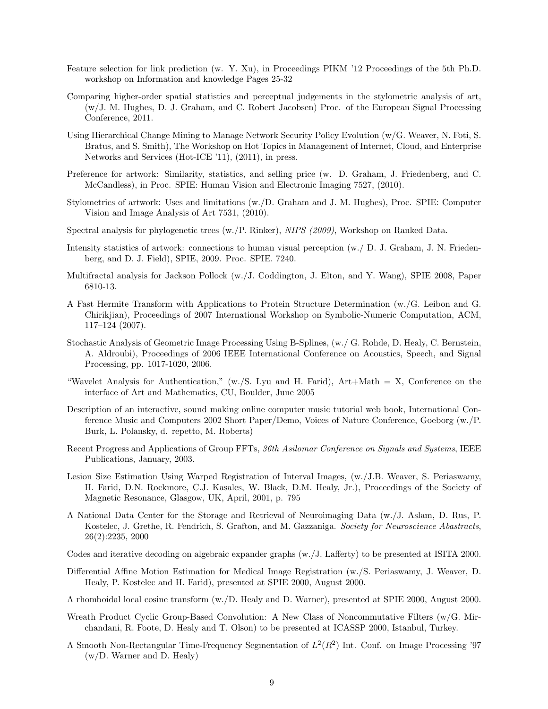- Feature selection for link prediction (w. Y. Xu), in Proceedings PIKM '12 Proceedings of the 5th Ph.D. workshop on Information and knowledge Pages 25-32
- Comparing higher-order spatial statistics and perceptual judgements in the stylometric analysis of art, (w/J. M. Hughes, D. J. Graham, and C. Robert Jacobsen) Proc. of the European Signal Processing Conference, 2011.
- Using Hierarchical Change Mining to Manage Network Security Policy Evolution (w/G. Weaver, N. Foti, S. Bratus, and S. Smith), The Workshop on Hot Topics in Management of Internet, Cloud, and Enterprise Networks and Services (Hot-ICE '11), (2011), in press.
- Preference for artwork: Similarity, statistics, and selling price (w. D. Graham, J. Friedenberg, and C. McCandless), in Proc. SPIE: Human Vision and Electronic Imaging 7527, (2010).
- Stylometrics of artwork: Uses and limitations (w./D. Graham and J. M. Hughes), Proc. SPIE: Computer Vision and Image Analysis of Art 7531, (2010).
- Spectral analysis for phylogenetic trees (w./P. Rinker), NIPS (2009), Workshop on Ranked Data.
- Intensity statistics of artwork: connections to human visual perception (w./ D. J. Graham, J. N. Friedenberg, and D. J. Field), SPIE, 2009. Proc. SPIE. 7240.
- Multifractal analysis for Jackson Pollock (w./J. Coddington, J. Elton, and Y. Wang), SPIE 2008, Paper 6810-13.
- A Fast Hermite Transform with Applications to Protein Structure Determination (w./G. Leibon and G. Chirikjian), Proceedings of 2007 International Workshop on Symbolic-Numeric Computation, ACM, 117–124 (2007).
- Stochastic Analysis of Geometric Image Processing Using B-Splines, (w./ G. Rohde, D. Healy, C. Bernstein, A. Aldroubi), Proceedings of 2006 IEEE International Conference on Acoustics, Speech, and Signal Processing, pp. 1017-1020, 2006.
- "Wavelet Analysis for Authentication,"  $(w./S. Lyu$  and H. Farid),  $Art+Math = X$ , Conference on the interface of Art and Mathematics, CU, Boulder, June 2005
- Description of an interactive, sound making online computer music tutorial web book, International Conference Music and Computers 2002 Short Paper/Demo, Voices of Nature Conference, Goeborg (w./P. Burk, L. Polansky, d. repetto, M. Roberts)
- Recent Progress and Applications of Group FFTs, 36th Asilomar Conference on Signals and Systems, IEEE Publications, January, 2003.
- Lesion Size Estimation Using Warped Registration of Interval Images, (w./J.B. Weaver, S. Periaswamy, H. Farid, D.N. Rockmore, C.J. Kasales, W. Black, D.M. Healy, Jr.), Proceedings of the Society of Magnetic Resonance, Glasgow, UK, April, 2001, p. 795
- A National Data Center for the Storage and Retrieval of Neuroimaging Data (w./J. Aslam, D. Rus, P. Kostelec, J. Grethe, R. Fendrich, S. Grafton, and M. Gazzaniga. Society for Neuroscience Abastracts, 26(2):2235, 2000
- Codes and iterative decoding on algebraic expander graphs (w./J. Lafferty) to be presented at ISITA 2000.
- Differential Affine Motion Estimation for Medical Image Registration (w./S. Periaswamy, J. Weaver, D. Healy, P. Kostelec and H. Farid), presented at SPIE 2000, August 2000.
- A rhomboidal local cosine transform (w./D. Healy and D. Warner), presented at SPIE 2000, August 2000.
- Wreath Product Cyclic Group-Based Convolution: A New Class of Noncommutative Filters (w/G. Mirchandani, R. Foote, D. Healy and T. Olson) to be presented at ICASSP 2000, Istanbul, Turkey.
- A Smooth Non-Rectangular Time-Frequency Segmentation of  $L^2(R^2)$  Int. Conf. on Image Processing '97 (w/D. Warner and D. Healy)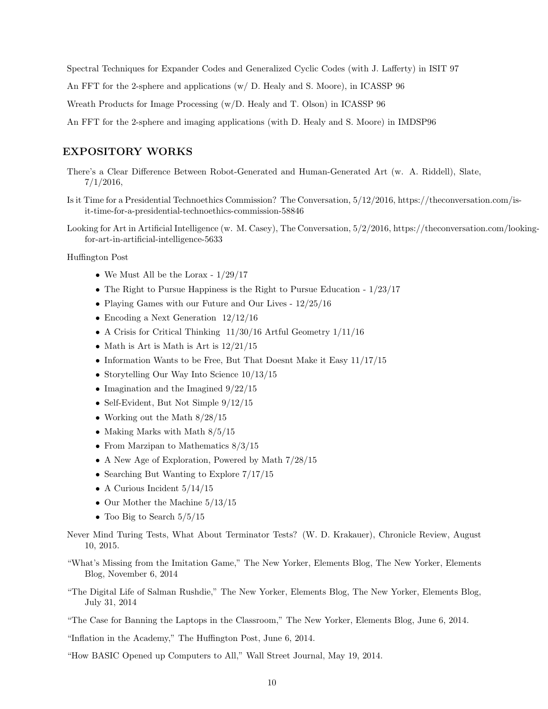Spectral Techniques for Expander Codes and Generalized Cyclic Codes (with J. Lafferty) in ISIT 97

An FFT for the 2-sphere and applications (w/ D. Healy and S. Moore), in ICASSP 96

Wreath Products for Image Processing (w/D. Healy and T. Olson) in ICASSP 96

An FFT for the 2-sphere and imaging applications (with D. Healy and S. Moore) in IMDSP96

#### EXPOSITORY WORKS

- There's a Clear Difference Between Robot-Generated and Human-Generated Art (w. A. Riddell), Slate, 7/1/2016,
- Is it Time for a Presidential Technoethics Commission? The Conversation, 5/12/2016, https://theconversation.com/isit-time-for-a-presidential-technoethics-commission-58846
- Looking for Art in Artificial Intelligence (w. M. Casey), The Conversation, 5/2/2016, https://theconversation.com/lookingfor-art-in-artificial-intelligence-5633

Huffington Post

- We Must All be the Lorax  $1/29/17$
- The Right to Pursue Happiness is the Right to Pursue Education  $1/23/17$
- Playing Games with our Future and Our Lives  $12/25/16$
- Encoding a Next Generation  $12/12/16$
- A Crisis for Critical Thinking 11/30/16 Artful Geometry 1/11/16
- Math is Art is Math is Art is  $12/21/15$
- Information Wants to be Free, But That Doesnt Make it Easy  $11/17/15$
- Storytelling Our Way Into Science 10/13/15
- Imagination and the Imagined  $9/22/15$
- Self-Evident, But Not Simple  $9/12/15$
- Working out the Math  $8/28/15$
- Making Marks with Math  $8/5/15$
- From Marzipan to Mathematics  $8/3/15$
- A New Age of Exploration, Powered by Math  $7/28/15$
- Searching But Wanting to Explore  $7/17/15$
- A Curious Incident  $5/14/15$
- Our Mother the Machine  $5/13/15$
- Too Big to Search  $5/5/15$
- Never Mind Turing Tests, What About Terminator Tests? (W. D. Krakauer), Chronicle Review, August 10, 2015.
- "What's Missing from the Imitation Game," The New Yorker, Elements Blog, The New Yorker, Elements Blog, November 6, 2014
- "The Digital Life of Salman Rushdie," The New Yorker, Elements Blog, The New Yorker, Elements Blog, July 31, 2014
- "The Case for Banning the Laptops in the Classroom," The New Yorker, Elements Blog, June 6, 2014.
- "Inflation in the Academy," The Huffington Post, June 6, 2014.
- "How BASIC Opened up Computers to All," Wall Street Journal, May 19, 2014.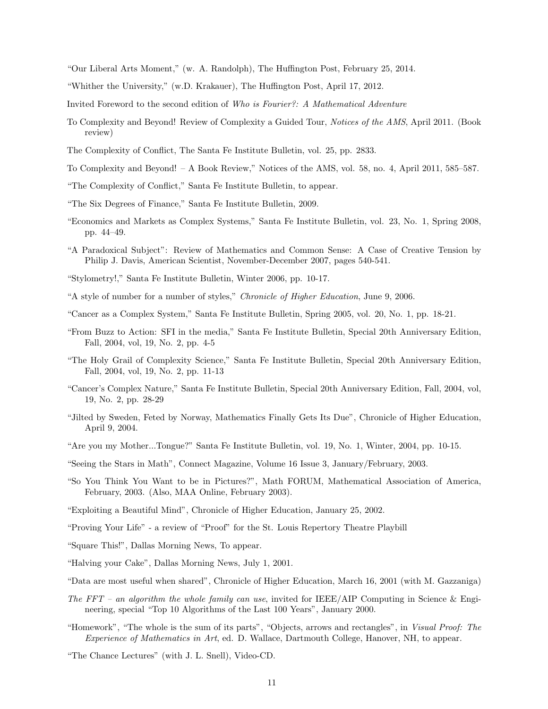"Our Liberal Arts Moment," (w. A. Randolph), The Huffington Post, February 25, 2014.

"Whither the University," (w.D. Krakauer), The Huffington Post, April 17, 2012.

Invited Foreword to the second edition of Who is Fourier?: A Mathematical Adventure

- To Complexity and Beyond! Review of Complexity a Guided Tour, Notices of the AMS, April 2011. (Book review)
- The Complexity of Conflict, The Santa Fe Institute Bulletin, vol. 25, pp. 2833.
- To Complexity and Beyond! A Book Review," Notices of the AMS, vol. 58, no. 4, April 2011, 585–587.
- "The Complexity of Conflict," Santa Fe Institute Bulletin, to appear.
- "The Six Degrees of Finance," Santa Fe Institute Bulletin, 2009.
- "Economics and Markets as Complex Systems," Santa Fe Institute Bulletin, vol. 23, No. 1, Spring 2008, pp. 44–49.
- "A Paradoxical Subject": Review of Mathematics and Common Sense: A Case of Creative Tension by Philip J. Davis, American Scientist, November-December 2007, pages 540-541.
- "Stylometry!," Santa Fe Institute Bulletin, Winter 2006, pp. 10-17.
- "A style of number for a number of styles," Chronicle of Higher Education, June 9, 2006.
- "Cancer as a Complex System," Santa Fe Institute Bulletin, Spring 2005, vol. 20, No. 1, pp. 18-21.
- "From Buzz to Action: SFI in the media," Santa Fe Institute Bulletin, Special 20th Anniversary Edition, Fall, 2004, vol, 19, No. 2, pp. 4-5
- "The Holy Grail of Complexity Science," Santa Fe Institute Bulletin, Special 20th Anniversary Edition, Fall, 2004, vol, 19, No. 2, pp. 11-13
- "Cancer's Complex Nature," Santa Fe Institute Bulletin, Special 20th Anniversary Edition, Fall, 2004, vol, 19, No. 2, pp. 28-29
- "Jilted by Sweden, Feted by Norway, Mathematics Finally Gets Its Due", Chronicle of Higher Education, April 9, 2004.
- "Are you my Mother...Tongue?" Santa Fe Institute Bulletin, vol. 19, No. 1, Winter, 2004, pp. 10-15.

"Seeing the Stars in Math", Connect Magazine, Volume 16 Issue 3, January/February, 2003.

- "So You Think You Want to be in Pictures?", Math FORUM, Mathematical Association of America, February, 2003. (Also, MAA Online, February 2003).
- "Exploiting a Beautiful Mind", Chronicle of Higher Education, January 25, 2002.
- "Proving Your Life" a review of "Proof" for the St. Louis Repertory Theatre Playbill
- "Square This!", Dallas Morning News, To appear.
- "Halving your Cake", Dallas Morning News, July 1, 2001.

"Data are most useful when shared", Chronicle of Higher Education, March 16, 2001 (with M. Gazzaniga)

- The FFT an algorithm the whole family can use, invited for IEEE/AIP Computing in Science & Engineering, special "Top 10 Algorithms of the Last 100 Years", January 2000.
- "Homework", "The whole is the sum of its parts", "Objects, arrows and rectangles", in Visual Proof: The Experience of Mathematics in Art, ed. D. Wallace, Dartmouth College, Hanover, NH, to appear.

"The Chance Lectures" (with J. L. Snell), Video-CD.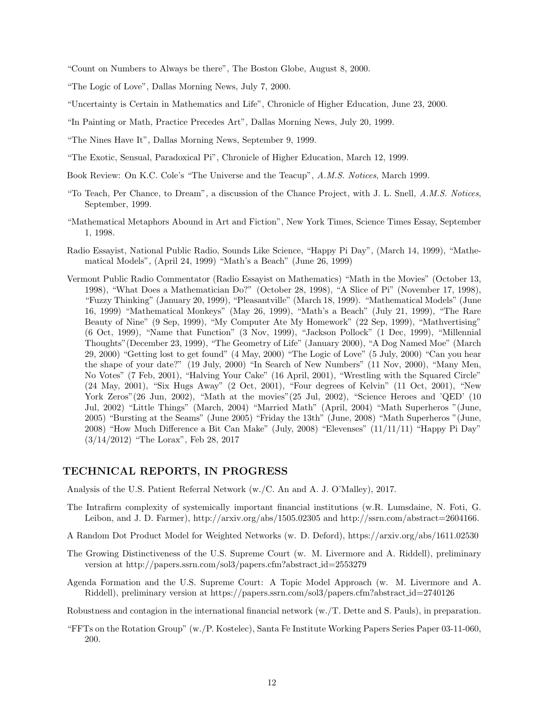"Count on Numbers to Always be there", The Boston Globe, August 8, 2000.

"The Logic of Love", Dallas Morning News, July 7, 2000.

- "Uncertainty is Certain in Mathematics and Life", Chronicle of Higher Education, June 23, 2000.
- "In Painting or Math, Practice Precedes Art", Dallas Morning News, July 20, 1999.
- "The Nines Have It", Dallas Morning News, September 9, 1999.
- "The Exotic, Sensual, Paradoxical Pi", Chronicle of Higher Education, March 12, 1999.
- Book Review: On K.C. Cole's "The Universe and the Teacup", A.M.S. Notices, March 1999.
- "To Teach, Per Chance, to Dream", a discussion of the Chance Project, with J. L. Snell, A.M.S. Notices, September, 1999.
- "Mathematical Metaphors Abound in Art and Fiction", New York Times, Science Times Essay, September 1, 1998.
- Radio Essayist, National Public Radio, Sounds Like Science, "Happy Pi Day", (March 14, 1999), "Mathematical Models", (April 24, 1999) "Math's a Beach" (June 26, 1999)
- Vermont Public Radio Commentator (Radio Essayist on Mathematics) "Math in the Movies" (October 13, 1998), "What Does a Mathematician Do?" (October 28, 1998), "A Slice of Pi" (November 17, 1998), "Fuzzy Thinking" (January 20, 1999), "Pleasantville" (March 18, 1999). "Mathematical Models" (June 16, 1999) "Mathematical Monkeys" (May 26, 1999), "Math's a Beach" (July 21, 1999), "The Rare Beauty of Nine" (9 Sep, 1999), "My Computer Ate My Homework" (22 Sep, 1999), "Mathvertising" (6 Oct, 1999), "Name that Function" (3 Nov, 1999), "Jackson Pollock" (1 Dec, 1999), "Millennial Thoughts"(December 23, 1999), "The Geometry of Life" (January 2000), "A Dog Named Moe" (March 29, 2000) "Getting lost to get found" (4 May, 2000) "The Logic of Love" (5 July, 2000) "Can you hear the shape of your date?" (19 July, 2000) "In Search of New Numbers" (11 Nov, 2000), "Many Men, No Votes" (7 Feb, 2001), "Halving Your Cake" (16 April, 2001), "Wrestling with the Squared Circle" (24 May, 2001), "Six Hugs Away" (2 Oct, 2001), "Four degrees of Kelvin" (11 Oct, 2001), "New York Zeros"(26 Jun, 2002), "Math at the movies"(25 Jul, 2002), "Science Heroes and 'QED' (10 Jul, 2002) "Little Things" (March, 2004) "Married Math" (April, 2004) "Math Superheros "(June, 2005) "Bursting at the Seams" (June 2005) "Friday the 13th" (June, 2008) "Math Superheros "(June, 2008) "How Much Difference a Bit Can Make" (July, 2008) "Elevenses" (11/11/11) "Happy Pi Day" (3/14/2012) "The Lorax", Feb 28, 2017

#### TECHNICAL REPORTS, IN PROGRESS

Analysis of the U.S. Patient Referral Network (w./C. An and A. J. O'Malley), 2017.

- The Intrafirm complexity of systemically important financial institutions (w.R. Lumsdaine, N. Foti, G. Leibon, and J. D. Farmer), http://arxiv.org/abs/1505.02305 and http://ssrn.com/abstract=2604166.
- A Random Dot Product Model for Weighted Networks (w. D. Deford), https://arxiv.org/abs/1611.02530
- The Growing Distinctiveness of the U.S. Supreme Court (w. M. Livermore and A. Riddell), preliminary version at http://papers.ssrn.com/sol3/papers.cfm?abstract id=2553279
- Agenda Formation and the U.S. Supreme Court: A Topic Model Approach (w. M. Livermore and A. Riddell), preliminary version at https://papers.ssrn.com/sol3/papers.cfm?abstract id=2740126

Robustness and contagion in the international financial network (w./T. Dette and S. Pauls), in preparation.

"FFTs on the Rotation Group" (w./P. Kostelec), Santa Fe Institute Working Papers Series Paper 03-11-060, 200.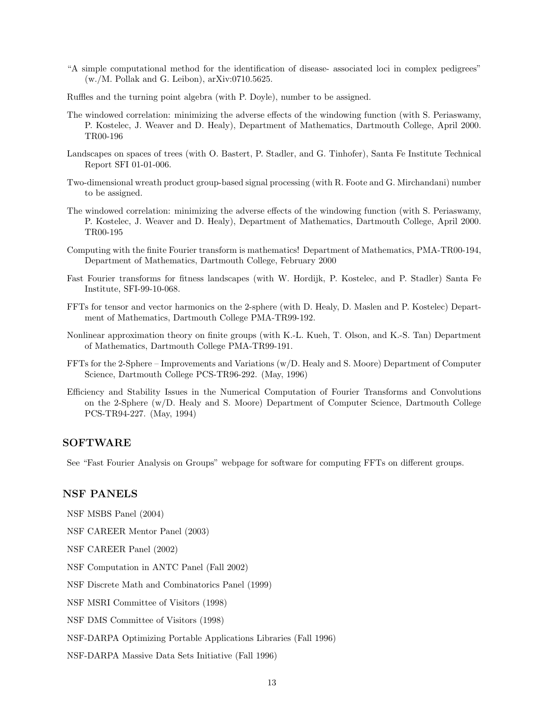- "A simple computational method for the identification of disease- associated loci in complex pedigrees" (w./M. Pollak and G. Leibon), arXiv:0710.5625.
- Ruffles and the turning point algebra (with P. Doyle), number to be assigned.
- The windowed correlation: minimizing the adverse effects of the windowing function (with S. Periaswamy, P. Kostelec, J. Weaver and D. Healy), Department of Mathematics, Dartmouth College, April 2000. TR00-196
- Landscapes on spaces of trees (with O. Bastert, P. Stadler, and G. Tinhofer), Santa Fe Institute Technical Report SFI 01-01-006.
- Two-dimensional wreath product group-based signal processing (with R. Foote and G. Mirchandani) number to be assigned.
- The windowed correlation: minimizing the adverse effects of the windowing function (with S. Periaswamy, P. Kostelec, J. Weaver and D. Healy), Department of Mathematics, Dartmouth College, April 2000. TR00-195
- Computing with the finite Fourier transform is mathematics! Department of Mathematics, PMA-TR00-194, Department of Mathematics, Dartmouth College, February 2000
- Fast Fourier transforms for fitness landscapes (with W. Hordijk, P. Kostelec, and P. Stadler) Santa Fe Institute, SFI-99-10-068.
- FFTs for tensor and vector harmonics on the 2-sphere (with D. Healy, D. Maslen and P. Kostelec) Department of Mathematics, Dartmouth College PMA-TR99-192.
- Nonlinear approximation theory on finite groups (with K.-L. Kueh, T. Olson, and K.-S. Tan) Department of Mathematics, Dartmouth College PMA-TR99-191.
- FFTs for the 2-Sphere Improvements and Variations (w/D. Healy and S. Moore) Department of Computer Science, Dartmouth College PCS-TR96-292. (May, 1996)
- Efficiency and Stability Issues in the Numerical Computation of Fourier Transforms and Convolutions on the 2-Sphere (w/D. Healy and S. Moore) Department of Computer Science, Dartmouth College PCS-TR94-227. (May, 1994)

## SOFTWARE

See "Fast Fourier Analysis on Groups" webpage for software for computing FFTs on different groups.

#### NSF PANELS

NSF MSBS Panel (2004)

NSF CAREER Mentor Panel (2003)

NSF CAREER Panel (2002)

NSF Computation in ANTC Panel (Fall 2002)

NSF Discrete Math and Combinatorics Panel (1999)

NSF MSRI Committee of Visitors (1998)

NSF DMS Committee of Visitors (1998)

NSF-DARPA Optimizing Portable Applications Libraries (Fall 1996)

NSF-DARPA Massive Data Sets Initiative (Fall 1996)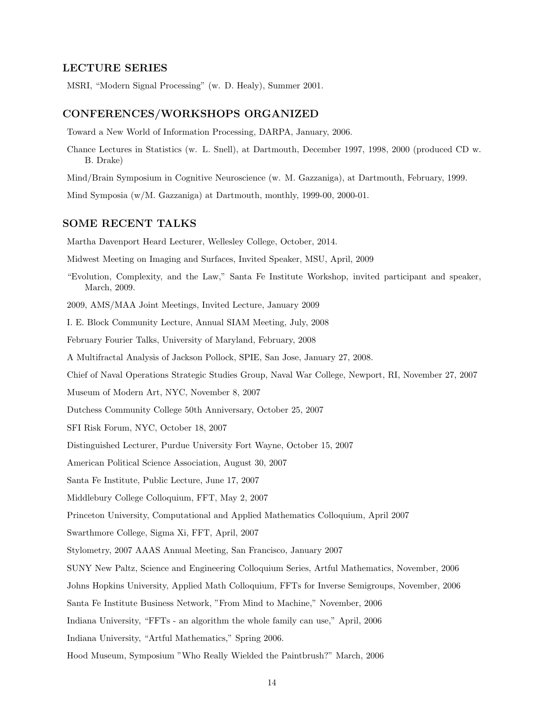#### LECTURE SERIES

MSRI, "Modern Signal Processing" (w. D. Healy), Summer 2001.

#### CONFERENCES/WORKSHOPS ORGANIZED

Toward a New World of Information Processing, DARPA, January, 2006.

Chance Lectures in Statistics (w. L. Snell), at Dartmouth, December 1997, 1998, 2000 (produced CD w. B. Drake)

Mind/Brain Symposium in Cognitive Neuroscience (w. M. Gazzaniga), at Dartmouth, February, 1999.

Mind Symposia (w/M. Gazzaniga) at Dartmouth, monthly, 1999-00, 2000-01.

# SOME RECENT TALKS

Martha Davenport Heard Lecturer, Wellesley College, October, 2014.

Midwest Meeting on Imaging and Surfaces, Invited Speaker, MSU, April, 2009

"Evolution, Complexity, and the Law," Santa Fe Institute Workshop, invited participant and speaker, March, 2009.

2009, AMS/MAA Joint Meetings, Invited Lecture, January 2009

I. E. Block Community Lecture, Annual SIAM Meeting, July, 2008

February Fourier Talks, University of Maryland, February, 2008

A Multifractal Analysis of Jackson Pollock, SPIE, San Jose, January 27, 2008.

Chief of Naval Operations Strategic Studies Group, Naval War College, Newport, RI, November 27, 2007

Museum of Modern Art, NYC, November 8, 2007

Dutchess Community College 50th Anniversary, October 25, 2007

SFI Risk Forum, NYC, October 18, 2007

Distinguished Lecturer, Purdue University Fort Wayne, October 15, 2007

American Political Science Association, August 30, 2007

Santa Fe Institute, Public Lecture, June 17, 2007

Middlebury College Colloquium, FFT, May 2, 2007

Princeton University, Computational and Applied Mathematics Colloquium, April 2007

Swarthmore College, Sigma Xi, FFT, April, 2007

Stylometry, 2007 AAAS Annual Meeting, San Francisco, January 2007

SUNY New Paltz, Science and Engineering Colloquium Series, Artful Mathematics, November, 2006

Johns Hopkins University, Applied Math Colloquium, FFTs for Inverse Semigroups, November, 2006

Santa Fe Institute Business Network, "From Mind to Machine," November, 2006

Indiana University, "FFTs - an algorithm the whole family can use," April, 2006

Indiana University, "Artful Mathematics," Spring 2006.

Hood Museum, Symposium "Who Really Wielded the Paintbrush?" March, 2006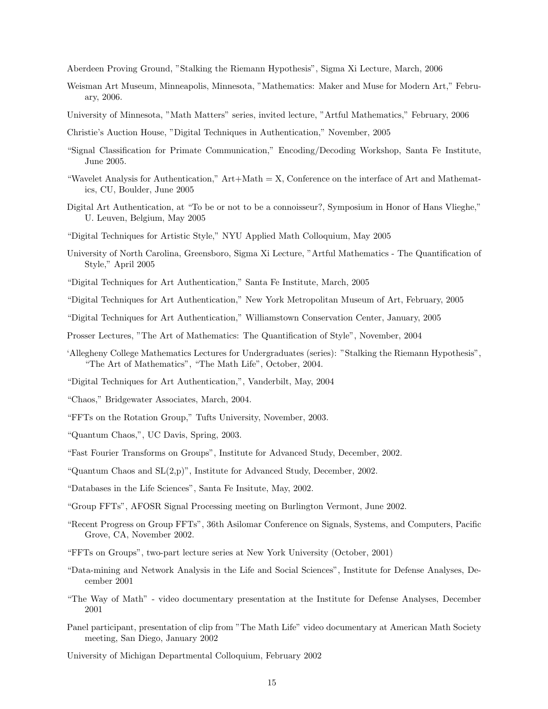Aberdeen Proving Ground, "Stalking the Riemann Hypothesis", Sigma Xi Lecture, March, 2006

- Weisman Art Museum, Minneapolis, Minnesota, "Mathematics: Maker and Muse for Modern Art," February, 2006.
- University of Minnesota, "Math Matters" series, invited lecture, "Artful Mathematics," February, 2006
- Christie's Auction House, "Digital Techniques in Authentication," November, 2005
- "Signal Classification for Primate Communication," Encoding/Decoding Workshop, Santa Fe Institute, June 2005.
- "Wavelet Analysis for Authentication,"  $Art+Math = X$ , Conference on the interface of Art and Mathematics, CU, Boulder, June 2005
- Digital Art Authentication, at "To be or not to be a connoisseur?, Symposium in Honor of Hans Vlieghe," U. Leuven, Belgium, May 2005
- "Digital Techniques for Artistic Style," NYU Applied Math Colloquium, May 2005
- University of North Carolina, Greensboro, Sigma Xi Lecture, "Artful Mathematics The Quantification of Style," April 2005
- "Digital Techniques for Art Authentication," Santa Fe Institute, March, 2005
- "Digital Techniques for Art Authentication," New York Metropolitan Museum of Art, February, 2005
- "Digital Techniques for Art Authentication," Williamstown Conservation Center, January, 2005
- Prosser Lectures, "The Art of Mathematics: The Quantification of Style", November, 2004
- 'Allegheny College Mathematics Lectures for Undergraduates (series): "Stalking the Riemann Hypothesis", "The Art of Mathematics", "The Math Life", October, 2004.
- "Digital Techniques for Art Authentication,", Vanderbilt, May, 2004
- "Chaos," Bridgewater Associates, March, 2004.
- "FFTs on the Rotation Group," Tufts University, November, 2003.
- "Quantum Chaos,", UC Davis, Spring, 2003.
- "Fast Fourier Transforms on Groups", Institute for Advanced Study, December, 2002.
- "Quantum Chaos and SL(2,p)", Institute for Advanced Study, December, 2002.
- "Databases in the Life Sciences", Santa Fe Insitute, May, 2002.
- "Group FFTs", AFOSR Signal Processing meeting on Burlington Vermont, June 2002.
- "Recent Progress on Group FFTs", 36th Asilomar Conference on Signals, Systems, and Computers, Pacific Grove, CA, November 2002.
- "FFTs on Groups", two-part lecture series at New York University (October, 2001)
- "Data-mining and Network Analysis in the Life and Social Sciences", Institute for Defense Analyses, December 2001
- "The Way of Math" video documentary presentation at the Institute for Defense Analyses, December 2001
- Panel participant, presentation of clip from "The Math Life" video documentary at American Math Society meeting, San Diego, January 2002
- University of Michigan Departmental Colloquium, February 2002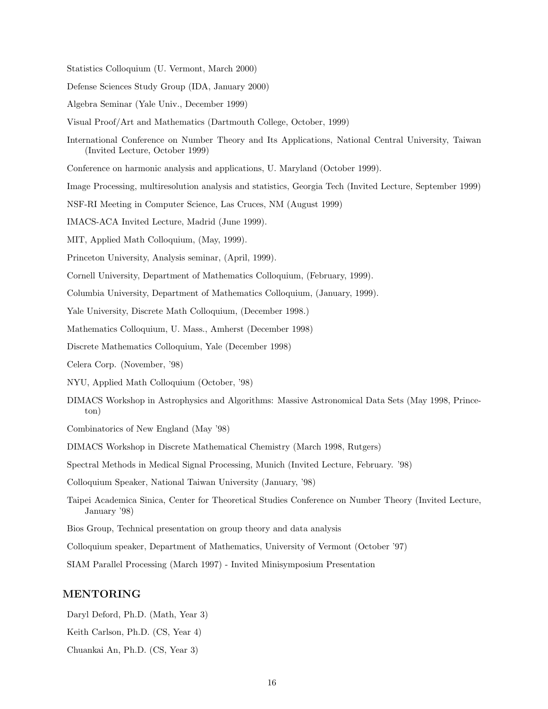Statistics Colloquium (U. Vermont, March 2000)

Defense Sciences Study Group (IDA, January 2000)

- Algebra Seminar (Yale Univ., December 1999)
- Visual Proof/Art and Mathematics (Dartmouth College, October, 1999)
- International Conference on Number Theory and Its Applications, National Central University, Taiwan (Invited Lecture, October 1999)
- Conference on harmonic analysis and applications, U. Maryland (October 1999).
- Image Processing, multiresolution analysis and statistics, Georgia Tech (Invited Lecture, September 1999)
- NSF-RI Meeting in Computer Science, Las Cruces, NM (August 1999)
- IMACS-ACA Invited Lecture, Madrid (June 1999).
- MIT, Applied Math Colloquium, (May, 1999).
- Princeton University, Analysis seminar, (April, 1999).
- Cornell University, Department of Mathematics Colloquium, (February, 1999).
- Columbia University, Department of Mathematics Colloquium, (January, 1999).
- Yale University, Discrete Math Colloquium, (December 1998.)
- Mathematics Colloquium, U. Mass., Amherst (December 1998)
- Discrete Mathematics Colloquium, Yale (December 1998)
- Celera Corp. (November, '98)
- NYU, Applied Math Colloquium (October, '98)
- DIMACS Workshop in Astrophysics and Algorithms: Massive Astronomical Data Sets (May 1998, Princeton)
- Combinatorics of New England (May '98)
- DIMACS Workshop in Discrete Mathematical Chemistry (March 1998, Rutgers)

Spectral Methods in Medical Signal Processing, Munich (Invited Lecture, February. '98)

Colloquium Speaker, National Taiwan University (January, '98)

- Taipei Academica Sinica, Center for Theoretical Studies Conference on Number Theory (Invited Lecture, January '98)
- Bios Group, Technical presentation on group theory and data analysis
- Colloquium speaker, Department of Mathematics, University of Vermont (October '97)

SIAM Parallel Processing (March 1997) - Invited Minisymposium Presentation

#### MENTORING

Daryl Deford, Ph.D. (Math, Year 3) Keith Carlson, Ph.D. (CS, Year 4) Chuankai An, Ph.D. (CS, Year 3)